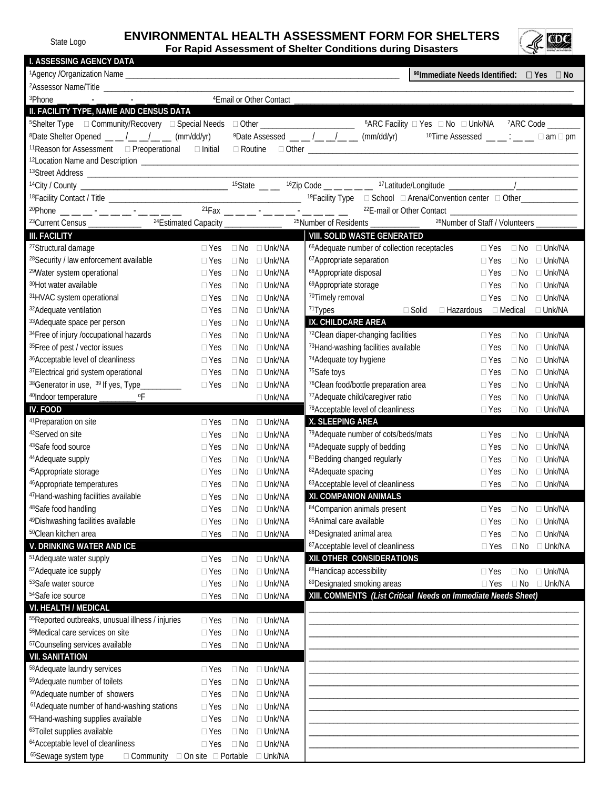## State Logo **ENVIRONMENTAL HEALTH ASSESSMENT FORM FOR SHELTERS**



**For Rapid Assessment of Shelter Conditions during Disasters**

| <b>I. ASSESSING AGENCY DATA</b>                                                                                                                                 |                                                                                               |                                                                                          |
|-----------------------------------------------------------------------------------------------------------------------------------------------------------------|-----------------------------------------------------------------------------------------------|------------------------------------------------------------------------------------------|
|                                                                                                                                                                 |                                                                                               | <sup>90</sup> Immediate Needs Identified: □ Yes □ No                                     |
|                                                                                                                                                                 |                                                                                               |                                                                                          |
|                                                                                                                                                                 | <sup>4</sup> Email or Other Contact                                                           |                                                                                          |
| II. FACILITY TYPE, NAME AND CENSUS DATA                                                                                                                         |                                                                                               |                                                                                          |
|                                                                                                                                                                 |                                                                                               |                                                                                          |
| <sup>8</sup> Date Shelter Opened $\underline{\qquad \qquad }$ $\underline{\qquad \qquad }$ $\underline{\qquad \qquad }$ $\underline{\qquad \qquad }$ (mm/dd/yr) | <sup>9</sup> Date Assessed __ _ /_ _/_ _/ _ (mm/dd/yr)                                        | <sup>10</sup> Time Assessed $\qquad \qquad \_ \_ \_ \_ \_ \_ \_ \_ \_ \Box$ am $\Box$ pm |
| 11 Reason for Assessment D Preoperational D Initial                                                                                                             |                                                                                               |                                                                                          |
|                                                                                                                                                                 |                                                                                               |                                                                                          |
|                                                                                                                                                                 |                                                                                               |                                                                                          |
|                                                                                                                                                                 |                                                                                               |                                                                                          |
|                                                                                                                                                                 |                                                                                               |                                                                                          |
| <sup>20</sup> Phone __ __ __ - __ -_ __ - __ -_ __ -_ __                                                                                                        | $21$ Fax — — — — — — — — — — — — —                                                            |                                                                                          |
| <sup>23</sup> Current Census ______________ <sup>24</sup> Estimated Capacity ______________                                                                     | <sup>25</sup> Number of Residents ____________                                                | <sup>26</sup> Number of Staff / Volunteers ______                                        |
| <b>III. FACILITY</b>                                                                                                                                            | VIII. SOLID WASTE GENERATED                                                                   |                                                                                          |
|                                                                                                                                                                 |                                                                                               |                                                                                          |
| <sup>27</sup> Structural damage                                                                                                                                 | <sup>66</sup> Adequate number of collection receptacles<br>$\Box$ Yes $\Box$ No $\Box$ Unk/NA | □ Yes □ No □ Unk/NA                                                                      |
| <sup>28</sup> Security / law enforcement available<br>$\Box$ Yes                                                                                                | 67 Appropriate separation<br>$\Box$ No $\Box$ Unk/NA                                          | $\Box$ Yes<br>$\Box$ No $\Box$ Unk/NA                                                    |
| <sup>29</sup> Water system operational<br>$\Box$ Yes                                                                                                            | 68Appropriate disposal<br>$\Box$ No $\Box$ Unk/NA                                             | $\Box$ Yes<br>$\Box$ No $\Box$ Unk/NA                                                    |
| <sup>30</sup> Hot water available<br>$\Box$ Yes                                                                                                                 | <sup>69</sup> Appropriate storage<br>$\Box$ No $\Box$ Unk/NA                                  | $\Box$ No $\Box$ Unk/NA<br>$\Box$ Yes                                                    |
| 31HVAC system operational<br>$\Box$ Yes                                                                                                                         | 70Timely removal<br>$\Box$ No $\Box$ Unk/NA                                                   | $\Box$ No $\Box$ Unk/NA<br>$\Box$ Yes                                                    |
| 32 Adequate ventilation<br>$\Box$ Yes                                                                                                                           | <sup>71</sup> Types<br>$\Box$ No $\Box$ Unk/NA                                                | □ Solid □ Hazardous □ Medical □ Unk/NA                                                   |
| 33 Adequate space per person<br>$\Box$ Yes                                                                                                                      | IX. CHILDCARE AREA<br>$\Box$ No $\Box$ Unk/NA                                                 |                                                                                          |
| <sup>34</sup> Free of injury /occupational hazards<br>$\Box$ Yes                                                                                                | 72Clean diaper-changing facilities<br>$\Box$ No $\Box$ Unk/NA                                 | □ Yes □ No □ Unk/NA                                                                      |
| 35 Free of pest / vector issues<br>$\Box$ Yes                                                                                                                   | 73Hand-washing facilities available<br>$\Box$ No $\Box$ Unk/NA                                | $\Box$ No $\Box$ Unk/NA<br>$\Box$ Yes                                                    |
| <sup>36</sup> Acceptable level of cleanliness<br>$\Box$ Yes                                                                                                     | 74 Adequate toy hygiene<br>$\Box$ No $\Box$ Unk/NA                                            | $\Box$ No $\Box$ Unk/NA<br>$\Box$ Yes                                                    |
| 37 Electrical grid system operational<br>$\Box$ Yes                                                                                                             | 75Safe toys<br>$\Box$ No $\Box$ Unk/NA                                                        | $\square$ Unk/NA<br>$\Box$ Yes<br>$\Box$ No                                              |
| <sup>38</sup> Generator in use, <sup>39</sup> If yes, Type_<br>$\Box$ Yes<br>$\mathcal{L} = \mathcal{L}$                                                        | <sup>76</sup> Clean food/bottle preparation area<br>$\Box$ No $\Box$ Unk/NA                   | $\Box$ Unk/NA<br>$\Box$ Yes<br>$\Box$ No                                                 |
| <sup>40</sup> Indoor temperature ___________ oF                                                                                                                 | <sup>77</sup> Adequate child/caregiver ratio<br>$\Box$ Unk/NA                                 | $\Box$ Unk/NA<br>$\Box$ Yes<br>$\Box$ No                                                 |
| IV. FOOD                                                                                                                                                        | <sup>78</sup> Acceptable level of cleanliness                                                 | □ Yes □ No □ Unk/NA                                                                      |
| <sup>41</sup> Preparation on site<br>$\Box$ Yes                                                                                                                 | X. SLEEPING AREA<br>$\Box$ No $\Box$ Unk/NA                                                   |                                                                                          |
| <sup>42</sup> Served on site<br>$\Box$ Yes                                                                                                                      | <sup>79</sup> Adequate number of cots/beds/mats<br>$\Box$ No $\Box$ Unk/NA                    | $\Box$ No $\Box$ Unk/NA<br>$\Box$ Yes                                                    |
| <sup>43</sup> Safe food source<br>$\Box$ Yes                                                                                                                    | 80 Adequate supply of bedding<br>$\Box$ No $\Box$ Unk/NA                                      | $\Box$ No $\Box$ Unk/NA<br>$\Box$ Yes                                                    |
| <sup>44</sup> Adequate supply<br>$\Box$ Yes                                                                                                                     | 81 Bedding changed regularly<br>$\Box$ No $\Box$ Unk/NA                                       | $\Box$ No $\Box$ Unk/NA<br>$\Box$ Yes                                                    |
| 45 Appropriate storage<br>$\Box$ Yes                                                                                                                            | <sup>82</sup> Adequate spacing<br>$\Box$ No $\Box$ Unk/NA                                     | $\Box$ Unk/NA<br>$\Box$ Yes<br>$\Box$ No                                                 |
| <sup>46</sup> Appropriate temperatures<br>$\Box$ Yes                                                                                                            | 83 Acceptable level of cleanliness<br>$\Box$ No $\Box$ Unk/NA                                 | □ Yes □ No □ Unk/NA                                                                      |
| <sup>47</sup> Hand-washing facilities available                                                                                                                 | XI. COMPANION ANIMALS<br>□ Yes □ No □ Unk/NA                                                  |                                                                                          |
| <sup>48</sup> Safe food handling<br>$\Box$ Yes                                                                                                                  | 84 Companion animals present<br>$\Box$ No $\Box$ Unk/NA                                       | $\Box$ Unk/NA<br>$\Box$ Yes<br>$\Box$ No                                                 |
| <sup>49</sup> Dishwashing facilities available<br>$\Box$ Yes                                                                                                    | 85 Animal care available<br>□ Unk/NA<br>$\Box$ No                                             | $\Box$ Unk/NA<br>$\Box$ Yes<br>$\Box$ No                                                 |
| <sup>50</sup> Clean kitchen area<br>$\Box$ Yes                                                                                                                  | 86 Designated animal area<br>$\Box$ No $\Box$ Unk/NA                                          | $\Box$ Unk/NA<br>$\Box$ Yes<br>$\Box$ No                                                 |
| V. DRINKING WATER AND ICE                                                                                                                                       | 87 Acceptable level of cleanliness                                                            | $\Box$ Yes<br>$\Box$ No $\Box$ Unk/NA                                                    |
| 51 Adequate water supply<br>$\Box$ Yes                                                                                                                          | $\Box$ No $\Box$ Unk/NA<br>XII. OTHER CONSIDERATIONS                                          |                                                                                          |
| <sup>52</sup> Adequate ice supply<br>$\Box$ Yes                                                                                                                 | 88Handicap accessibility<br>$\Box$ No<br>$\Box$ Unk/NA                                        | $\Box$ No $\Box$ Unk/NA<br>$\Box$ Yes                                                    |
| 53Safe water source<br>$\Box$ Yes                                                                                                                               | 89 Designated smoking areas<br>$\Box$ Unk/NA<br>$\Box$ No                                     | $\Box$ Yes<br>$\Box$ No $\Box$ Unk/NA                                                    |
| 54Safe ice source<br>$\Box$ Yes                                                                                                                                 | $\Box$ No $\Box$ Unk/NA                                                                       | XIII. COMMENTS (List Critical Needs on Immediate Needs Sheet)                            |
| VI. HEALTH / MEDICAL                                                                                                                                            |                                                                                               |                                                                                          |
| <sup>55</sup> Reported outbreaks, unusual illness / injuries<br>$\Box$ Yes                                                                                      | $\Box$ No $\Box$ Unk/NA                                                                       |                                                                                          |
| 56Medical care services on site<br>$\Box$ Yes                                                                                                                   | $\Box$ No $\Box$ Unk/NA                                                                       |                                                                                          |
| 57 Counseling services available<br>$\Box$ Yes                                                                                                                  | $\Box$ No $\Box$ Unk/NA                                                                       |                                                                                          |
| <b>VII. SANITATION</b>                                                                                                                                          |                                                                                               |                                                                                          |
| 58 Adequate laundry services<br>$\Box$ Yes                                                                                                                      | $\Box$ No<br>$\square$ Unk/NA                                                                 |                                                                                          |
| 59 Adequate number of toilets<br>$\Box$ Yes                                                                                                                     | $\Box$ No<br>$\Box$ Unk/NA                                                                    |                                                                                          |
| <sup>60</sup> Adequate number of showers<br>$\Box$ Yes                                                                                                          | $\square$ Unk/NA<br>$\Box$ No                                                                 |                                                                                          |
| <sup>61</sup> Adequate number of hand-washing stations<br>$\Box$ Yes                                                                                            | $\Box$ No $\Box$ Unk/NA                                                                       |                                                                                          |
| <sup>62</sup> Hand-washing supplies available<br>$\Box$ Yes                                                                                                     | $\Box$ No $\Box$ Unk/NA                                                                       |                                                                                          |
| 63Toilet supplies available<br>$\Box$ Yes                                                                                                                       | □ Unk/NA<br>$\Box$ No                                                                         |                                                                                          |
| <sup>64</sup> Acceptable level of cleanliness<br>$\square$ Yes                                                                                                  | $\Box$ No<br>$\Box$ Unk/NA                                                                    |                                                                                          |
|                                                                                                                                                                 | □ Community □ On site □ Portable □ Unk/NA                                                     |                                                                                          |